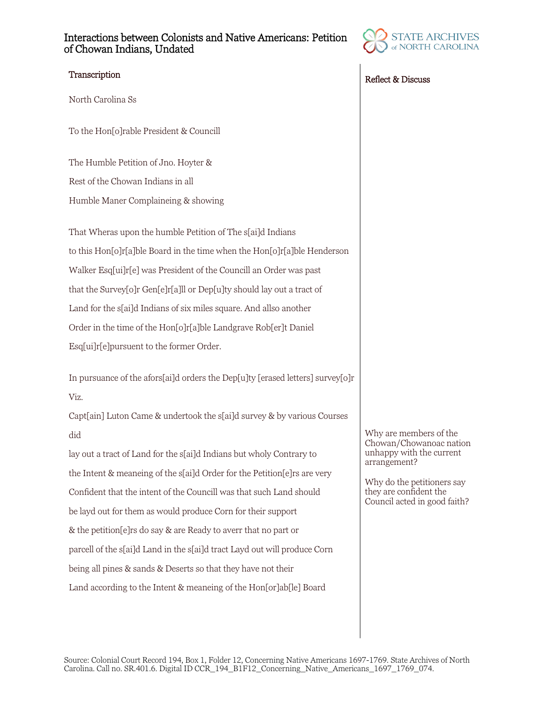## Interactions between Colonists and Native Americans: Petition of Chowan Indians, Undated



North Carolina Ss

To the Hon[o]rable President & Councill

The Humble Petition of Jno. Hoyter & Rest of the Chowan Indians in all Humble Maner Complaineing & showing

That Wheras upon the humble Petition of The s[ai]d Indians to this Hon[o]r[a]ble Board in the time when the Hon[o]r[a]ble Henderson Walker Esq[ui]r[e] was President of the Councill an Order was past that the Survey[o]r Gen[e]r[a]ll or Dep[u]ty should lay out a tract of Land for the s[ai]d Indians of six miles square. And allso another Order in the time of the Hon[o]r[a]ble Landgrave Rob[er]t Daniel Esq[ui]r[e]pursuent to the former Order.

In pursuance of the afors[ai]d orders the Dep[u]ty [erased letters] survey[o]r Viz.

Capt[ain] Luton Came & undertook the s[ai]d survey & by various Courses did

lay out a tract of Land for the s[ai]d Indians but wholy Contrary to the Intent & meaneing of the s[ai]d Order for the Petition[e]rs are very Confident that the intent of the Councill was that such Land should be layd out for them as would produce Corn for their support & the petition[e]rs do say & are Ready to averr that no part or parcell of the s[ai]d Land in the s[ai]d tract Layd out will produce Corn being all pines & sands & Deserts so that they have not their Land according to the Intent & meaneing of the Hon[or]ab[le] Board



Why are members of the Chowan/Chowanoac nation unhappy with the current

Why do the petitioners say they are confident the Council acted in good faith?

arrangement?

Source: Colonial Court Record 194, Box 1, Folder 12, Concerning Native Americans 1697-1769. State Archives of North Carolina. Call no. SR.401.6. Digital ID CCR\_194\_B1F12\_Concerning\_Native\_Americans\_1697\_1769\_074.